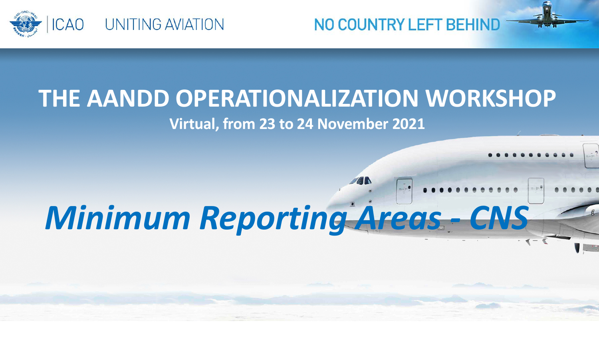

### **THE AANDD OPERATIONALIZATION WORKSHOP Virtual, from 23 to 24 November 2021**

# *Minimum Reporting Areas - CNS*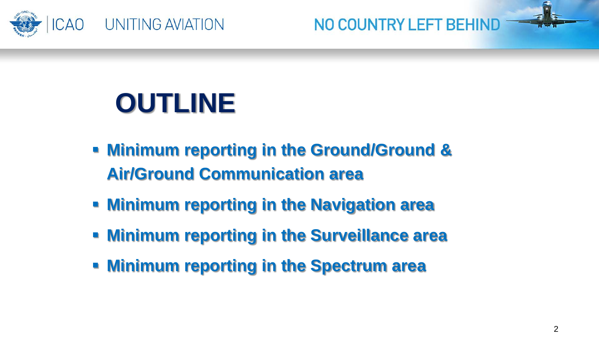

# **OUTLINE**

- **Minimum reporting in the Ground/Ground & Air/Ground Communication area**
- **Minimum reporting in the Navigation area**
- **Minimum reporting in the Surveillance area**
- **Minimum reporting in the Spectrum area**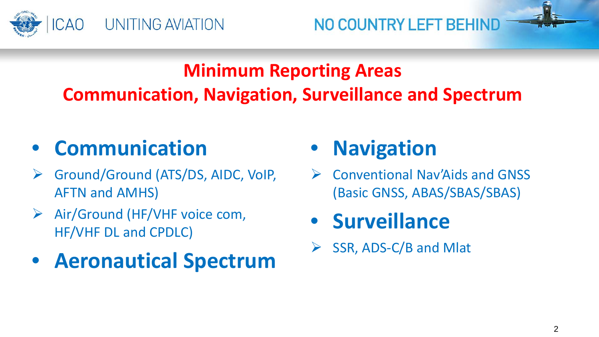

### **Minimum Reporting Areas Communication, Navigation, Surveillance and Spectrum**

# • **Communication**

- Ground/Ground (ATS/DS, AIDC, VoIP, AFTN and AMHS)
- $\triangleright$  Air/Ground (HF/VHF voice com, HF/VHF DL and CPDLC)
- **Aeronautical Spectrum**

# • **Navigation**

 Conventional Nav'Aids and GNSS (Basic GNSS, ABAS/SBAS/SBAS)

# • **Surveillance**

SSR, ADS-C/B and Mlat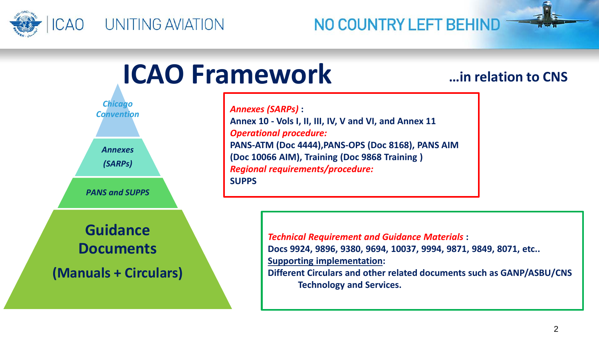



**…in relation to CNS**

**Annex 10 - Vols I, II, III, IV, V and VI, and Annex 11** *Operational procedure:* **PANS-ATM (Doc 4444),PANS-OPS (Doc 8168), PANS AIM (Doc 10066 AIM), Training (Doc 9868 Training )** *Regional requirements/procedure:*

> *Technical Requirement and Guidance Materials* **: Docs 9924, 9896, 9380, 9694, 10037, 9994, 9871, 9849, 8071, etc.. Supporting implementation:**

**Different Circulars and other related documents such as GANP/ASBU/CNS Technology and Services.**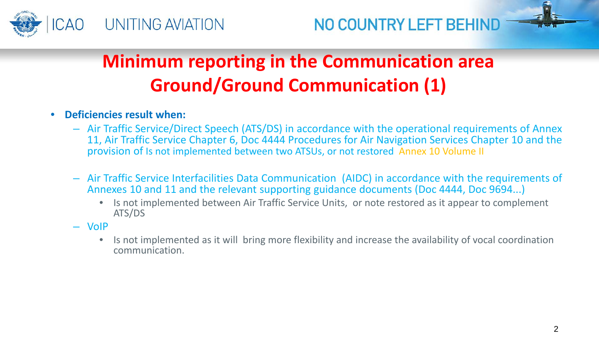

# **Minimum reporting in the Communication area Ground/Ground Communication (1)**

- **Deficiencies result when:**
	- Air Traffic Service/Direct Speech (ATS/DS) in accordance with the operational requirements of Annex 11, Air Traffic Service Chapter 6, Doc 4444 Procedures for Air Navigation Services Chapter 10 and the provision of Is not implemented between two ATSUs, or not restored Annex 10 Volume II
	- Air Traffic Service Interfacilities Data Communication (AIDC) in accordance with the requirements of Annexes 10 and 11 and the relevant supporting guidance documents (Doc 4444, Doc 9694...)
		- Is not implemented between Air Traffic Service Units, or note restored as it appear to complement ATS/DS
	- VoIP
		- Is not implemented as it will bring more flexibility and increase the availability of vocal coordination communication.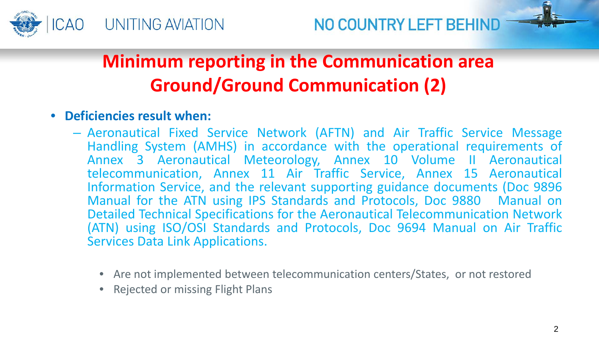

## **Minimum reporting in the Communication area Ground/Ground Communication (2)**

- **Deficiencies result when:**
	- Aeronautical Fixed Service Network (AFTN) and Air Traffic Service Message Handling System (AMHS) in accordance with the operational requirements of Annex 3 Aeronautical Meteorology, Annex 10 Volume II Aeronautical telecommunication, Annex 11 Air Traffic Service, Annex 15 Aeronautical Information Service, and the relevant supporting guidance documents (Doc 9896 Manual for the ATN using IPS Standards and Protocols, Doc 9880 Manual on Detailed Technical Specifications for the Aeronautical Telecommunication Network (ATN) using ISO/OSI Standards and Protocols, Doc 9694 Manual on Air Traffic Services Data Link Applications.
		- Are not implemented between telecommunication centers/States, or not restored
		- Rejected or missing Flight Plans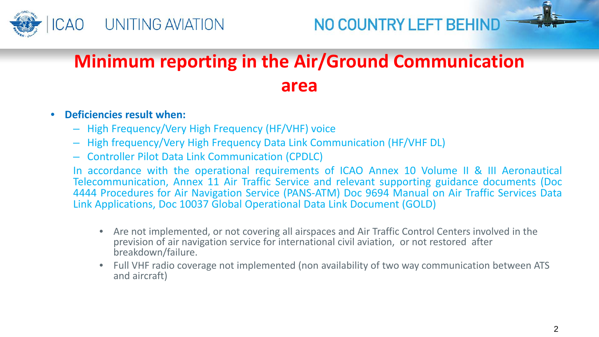



# **Minimum reporting in the Air/Ground Communication area**

#### • **Deficiencies result when:**

- High Frequency/Very High Frequency (HF/VHF) voice
- High frequency/Very High Frequency Data Link Communication (HF/VHF DL)
- Controller Pilot Data Link Communication (CPDLC)

In accordance with the operational requirements of ICAO Annex 10 Volume II & III Aeronautical Telecommunication, Annex 11 Air Traffic Service and relevant supporting guidance documents (Doc 4444 Procedures for Air Navigation Service (PANS-ATM) Doc 9694 Manual on Air Traffic Services Data Link Applications, Doc 10037 Global Operational Data Link Document (GOLD)

- Are not implemented, or not covering all airspaces and Air Traffic Control Centers involved in the prevision of air navigation service for international civil aviation, or not restored after breakdown/failure.
- Full VHF radio coverage not implemented (non availability of two way communication between ATS and aircraft)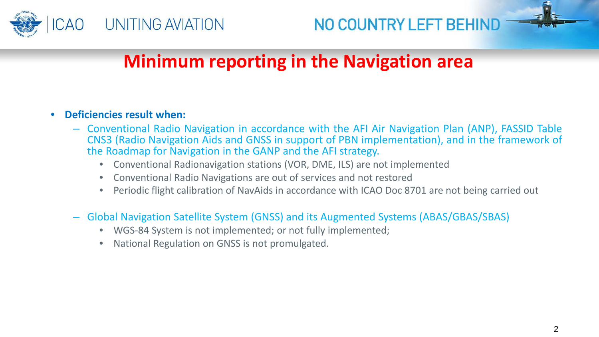



### **Minimum reporting in the Navigation area**

#### • **Deficiencies result when:**

- Conventional Radio Navigation in accordance with the AFI Air Navigation Plan (ANP), FASSID Table CNS3 (Radio Navigation Aids and GNSS in support of PBN implementation), and in the framework of the Roadmap for Navigation in the GANP and the AFI strategy.
	- Conventional Radionavigation stations (VOR, DME, ILS) are not implemented
	- Conventional Radio Navigations are out of services and not restored
	- Periodic flight calibration of NavAids in accordance with ICAO Doc 8701 are not being carried out
- Global Navigation Satellite System (GNSS) and its Augmented Systems (ABAS/GBAS/SBAS)
	- WGS-84 System is not implemented; or not fully implemented;
	- National Regulation on GNSS is not promulgated.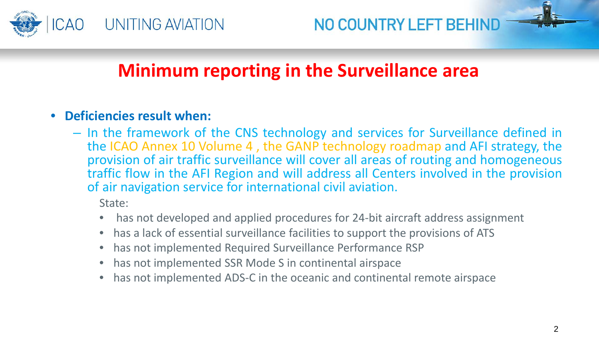

### **Minimum reporting in the Surveillance area**

#### • **Deficiencies result when:**

– In the framework of the CNS technology and services for Surveillance defined in the ICAO Annex 10 Volume 4 , the GANP technology roadmap and AFI strategy, the provision of air traffic surveillance will cover all areas of routing and homogeneous traffic flow in the AFI Region and will address all Centers involved in the provision of air navigation service for international civil aviation.

State:

- has not developed and applied procedures for 24-bit aircraft address assignment
- has a lack of essential surveillance facilities to support the provisions of ATS
- has not implemented Required Surveillance Performance RSP
- has not implemented SSR Mode S in continental airspace
- has not implemented ADS-C in the oceanic and continental remote airspace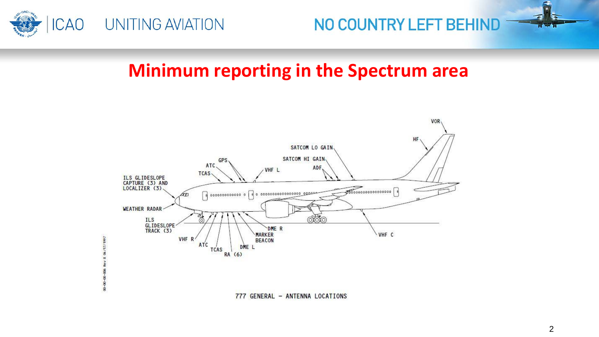

1991/1997

 $\overline{\mathbf{3}}$ 

Š \$  $\frac{8}{8}$ 



### **Minimum reporting in the Spectrum area**



777 GENERAL - ANTENNA LOCATIONS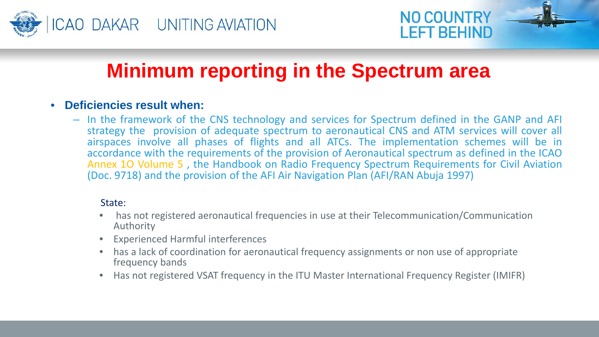



## **Minimum reporting in the Spectrum area**

#### • **Deficiencies result when:**

– In the framework of the CNS technology and services for Spectrum defined in the GANP and AFI strategy the provision of adequate spectrum to aeronautical CNS and ATM services will cover all airspaces involve all phases of flights and all ATCs. The implementation schemes will be in accordance with the requirements of the provision of Aeronautical spectrum as defined in the ICAO Annex 1O Volume 5 , the Handbook on Radio Frequency Spectrum Requirements for Civil Aviation (Doc. 9718) and the provision of the AFI Air Navigation Plan (AFI/RAN Abuja 1997)

#### State:

- has not registered aeronautical frequencies in use at their Telecommunication/Communication Authority
- Experienced Harmful interferences
- has a lack of coordination for aeronautical frequency assignments or non use of appropriate frequency bands
- Has not registered VSAT frequency in the ITU Master International Frequency Register (IMIFR)